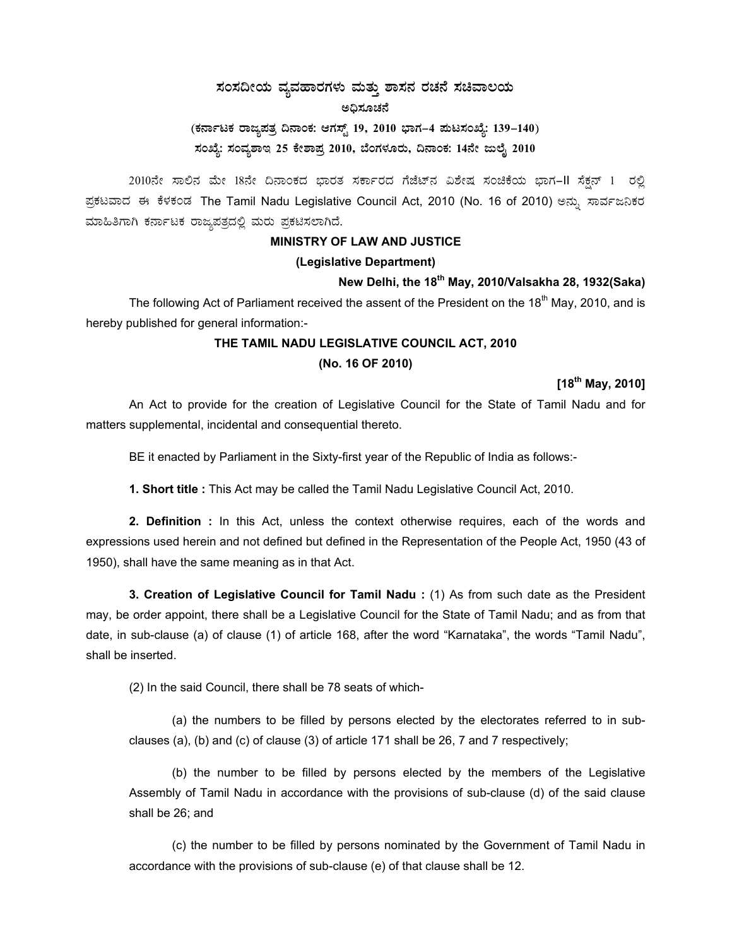## $\,$ ಸಂಸದೀಯ ವ್ಯವಹಾರಗಳು ಮತ್ತು ಶಾಸನ ರಚನೆ ಸಚಿವಾಲಯ ಅದಿಸೂಚನೆ

# (ಕರ್ನಾಟಕ ರಾಜ್ಯಪತ್ರ ದಿನಾಂಕ: ಆಗಸ್ಟ್ 19, 2010 ಭಾಗ–4 **ಮಟಸಂಖ್ಯೆ: 139–140**) ಸಂಖ್ಯೆ: ಸಂವ್ಯಶಾಇ 25 ಕೇಶಾಪ್ರ 2010, ಬೆಂಗಳೂರು, ದಿನಾಂಕ: 14ನೇ ಜುಲೈ 2010

2010ನೇ ಸಾಲಿನ ಮೇ 18ನೇ ದಿನಾಂಕದ ಭಾರತ ಸರ್ಕಾರದ ಗೆಜೆಟ್ನ ವಿಶೇಷ ಸಂಚಿಕೆಯ ಭಾಗ–II ಸೆಕ್ಷನ್ 1 ರಲ್ಲಿ ಪ್ರಕಟವಾದ ಈ ಕೆಳಕಂಡ The Tamil Nadu Legislative Council Act, 2010 (No. 16 of 2010) ಅನ್ನು ಸಾರ್ವಜನಿಕರ ಮಾಹಿತಿಗಾಗಿ ಕರ್ನಾಟಕ ರಾಜ್ಯಪತ್ರದಲ್ಲಿ ಮರು ಪ್ರಕಟಿಸಲಾಗಿದೆ.

#### **MINISTRY OF LAW AND JUSTICE**

#### **(Legislative Department)**

#### **New Delhi, the 18th May, 2010/Valsakha 28, 1932(Saka)**

The following Act of Parliament received the assent of the President on the 18<sup>th</sup> May, 2010, and is hereby published for general information:-

## **THE TAMIL NADU LEGISLATIVE COUNCIL ACT, 2010 (No. 16 OF 2010)**

#### **[18th May, 2010]**

An Act to provide for the creation of Legislative Council for the State of Tamil Nadu and for matters supplemental, incidental and consequential thereto.

BE it enacted by Parliament in the Sixty-first year of the Republic of India as follows:-

**1. Short title :** This Act may be called the Tamil Nadu Legislative Council Act, 2010.

**2. Definition :** In this Act, unless the context otherwise requires, each of the words and expressions used herein and not defined but defined in the Representation of the People Act, 1950 (43 of 1950), shall have the same meaning as in that Act.

**3. Creation of Legislative Council for Tamil Nadu :** (1) As from such date as the President may, be order appoint, there shall be a Legislative Council for the State of Tamil Nadu; and as from that date, in sub-clause (a) of clause (1) of article 168, after the word "Karnataka", the words "Tamil Nadu", shall be inserted.

(2) In the said Council, there shall be 78 seats of which-

(a) the numbers to be filled by persons elected by the electorates referred to in subclauses (a), (b) and (c) of clause (3) of article 171 shall be 26, 7 and 7 respectively;

(b) the number to be filled by persons elected by the members of the Legislative Assembly of Tamil Nadu in accordance with the provisions of sub-clause (d) of the said clause shall be 26; and

(c) the number to be filled by persons nominated by the Government of Tamil Nadu in accordance with the provisions of sub-clause (e) of that clause shall be 12.